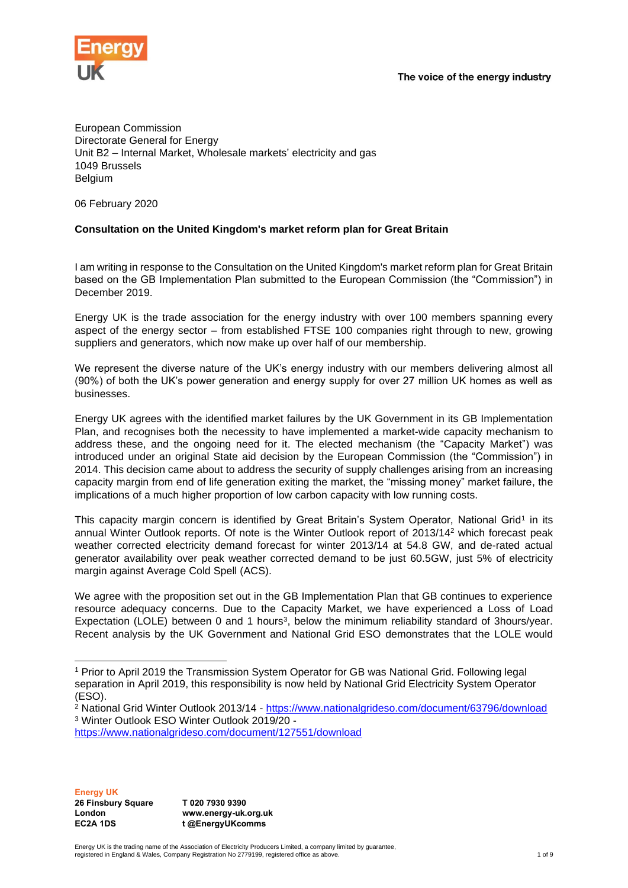

European Commission Directorate General for Energy Unit B2 – Internal Market, Wholesale markets' electricity and gas 1049 Brussels Belgium

06 February 2020

#### **Consultation on the United Kingdom's market reform plan for Great Britain**

I am writing in response to the Consultation on the United Kingdom's market reform plan for Great Britain based on the GB Implementation Plan submitted to the European Commission (the "Commission") in December 2019.

Energy UK is the trade association for the energy industry with over 100 members spanning every aspect of the energy sector – from established FTSE 100 companies right through to new, growing suppliers and generators, which now make up over half of our membership.

We represent the diverse nature of the UK's energy industry with our members delivering almost all (90%) of both the UK's power generation and energy supply for over 27 million UK homes as well as businesses.

Energy UK agrees with the identified market failures by the UK Government in its GB Implementation Plan, and recognises both the necessity to have implemented a market-wide capacity mechanism to address these, and the ongoing need for it. The elected mechanism (the "Capacity Market") was introduced under an original State aid decision by the European Commission (the "Commission") in 2014. This decision came about to address the security of supply challenges arising from an increasing capacity margin from end of life generation exiting the market, the "missing money" market failure, the implications of a much higher proportion of low carbon capacity with low running costs.

This capacity margin concern is identified by Great Britain's System Operator, National Grid1 in its annual Winter Outlook reports. Of note is the Winter Outlook report of 2013/14<sup>2</sup> which forecast peak weather corrected electricity demand forecast for winter 2013/14 at 54.8 GW, and de-rated actual generator availability over peak weather corrected demand to be just 60.5GW, just 5% of electricity margin against Average Cold Spell (ACS).

We agree with the proposition set out in the GB Implementation Plan that GB continues to experience resource adequacy concerns. Due to the Capacity Market, we have experienced a Loss of Load Expectation (LOLE) between 0 and 1 hours<sup>3</sup>, below the minimum reliability standard of 3hours/year. Recent analysis by the UK Government and National Grid ESO demonstrates that the LOLE would

**Energy UK 26 Finsbury Square London EC2A 1DS**

**T 020 7930 9390 www.energy-uk.org.uk t @EnergyUKcomms**

Energy UK is the trading name of the Association of Electricity Producers Limited, a company limited by guarantee, registered in England & Wales, Company Registration No 2779199, registered office as above. 1 of 9

<sup>1</sup> Prior to April 2019 the Transmission System Operator for GB was National Grid. Following legal separation in April 2019, this responsibility is now held by National Grid Electricity System Operator (ESO).

<sup>2</sup> National Grid Winter Outlook 2013/14 - <https://www.nationalgrideso.com/document/63796/download> <sup>3</sup> Winter Outlook ESO Winter Outlook 2019/20 -

<https://www.nationalgrideso.com/document/127551/download>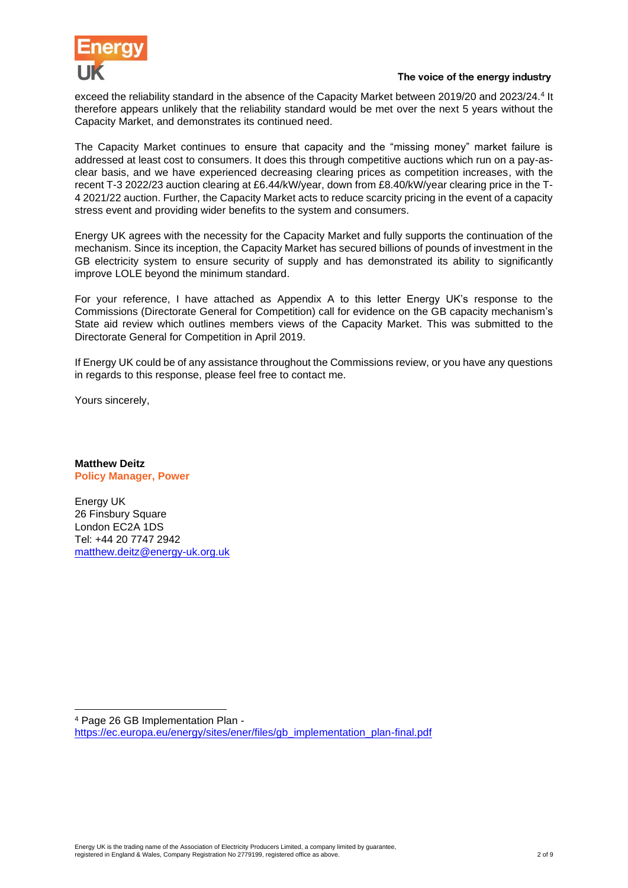

exceed the reliability standard in the absence of the Capacity Market between 2019/20 and 2023/24.<sup>4</sup> It therefore appears unlikely that the reliability standard would be met over the next 5 years without the Capacity Market, and demonstrates its continued need.

The Capacity Market continues to ensure that capacity and the "missing money" market failure is addressed at least cost to consumers. It does this through competitive auctions which run on a pay-asclear basis, and we have experienced decreasing clearing prices as competition increases, with the recent T-3 2022/23 auction clearing at £6.44/kW/year, down from £8.40/kW/year clearing price in the T-4 2021/22 auction. Further, the Capacity Market acts to reduce scarcity pricing in the event of a capacity stress event and providing wider benefits to the system and consumers.

Energy UK agrees with the necessity for the Capacity Market and fully supports the continuation of the mechanism. Since its inception, the Capacity Market has secured billions of pounds of investment in the GB electricity system to ensure security of supply and has demonstrated its ability to significantly improve LOLE beyond the minimum standard.

For your reference, I have attached as Appendix A to this letter Energy UK's response to the Commissions (Directorate General for Competition) call for evidence on the GB capacity mechanism's State aid review which outlines members views of the Capacity Market. This was submitted to the Directorate General for Competition in April 2019.

If Energy UK could be of any assistance throughout the Commissions review, or you have any questions in regards to this response, please feel free to contact me.

Yours sincerely,

**Matthew Deitz Policy Manager, Power**

Energy UK 26 Finsbury Square London EC2A 1DS Tel: +44 20 7747 2942 [matthew.deitz@energy-uk.org.uk](mailto:matthew.deitz@energy-uk.org.uk)

<sup>4</sup> Page 26 GB Implementation Plan [https://ec.europa.eu/energy/sites/ener/files/gb\\_implementation\\_plan-final.pdf](https://ec.europa.eu/energy/sites/ener/files/gb_implementation_plan-final.pdf)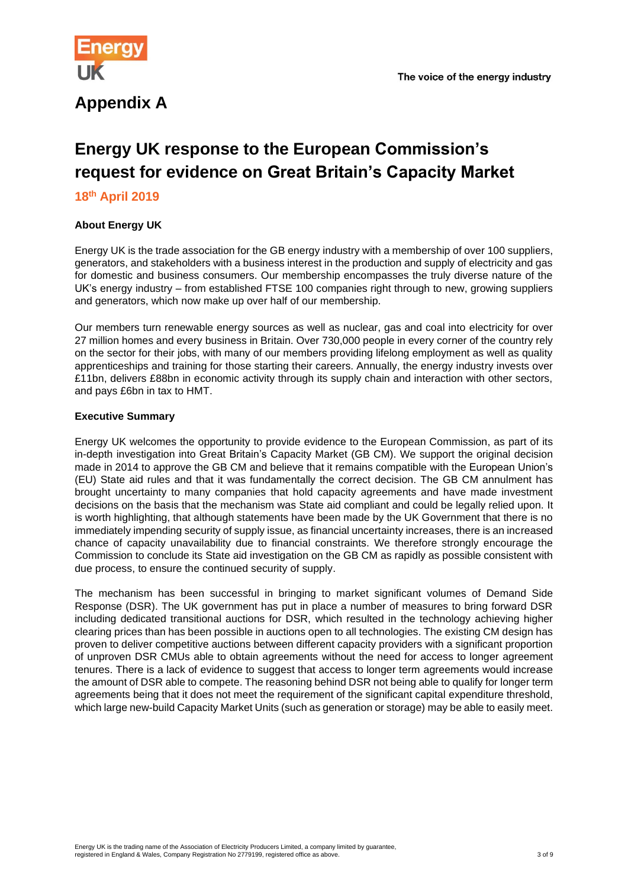

## **Appendix A**

# **Energy UK response to the European Commission's request for evidence on Great Britain's Capacity Market**

#### **18th April 2019**

#### **About Energy UK**

Energy UK is the trade association for the GB energy industry with a membership of over 100 suppliers, generators, and stakeholders with a business interest in the production and supply of electricity and gas for domestic and business consumers. Our membership encompasses the truly diverse nature of the UK's energy industry – from established FTSE 100 companies right through to new, growing suppliers and generators, which now make up over half of our membership.

Our members turn renewable energy sources as well as nuclear, gas and coal into electricity for over 27 million homes and every business in Britain. Over 730,000 people in every corner of the country rely on the sector for their jobs, with many of our members providing lifelong employment as well as quality apprenticeships and training for those starting their careers. Annually, the energy industry invests over £11bn, delivers £88bn in economic activity through its supply chain and interaction with other sectors, and pays £6bn in tax to HMT.

#### **Executive Summary**

Energy UK welcomes the opportunity to provide evidence to the European Commission, as part of its in-depth investigation into Great Britain's Capacity Market (GB CM). We support the original decision made in 2014 to approve the GB CM and believe that it remains compatible with the European Union's (EU) State aid rules and that it was fundamentally the correct decision. The GB CM annulment has brought uncertainty to many companies that hold capacity agreements and have made investment decisions on the basis that the mechanism was State aid compliant and could be legally relied upon. It is worth highlighting, that although statements have been made by the UK Government that there is no immediately impending security of supply issue, as financial uncertainty increases, there is an increased chance of capacity unavailability due to financial constraints. We therefore strongly encourage the Commission to conclude its State aid investigation on the GB CM as rapidly as possible consistent with due process, to ensure the continued security of supply.

The mechanism has been successful in bringing to market significant volumes of Demand Side Response (DSR). The UK government has put in place a number of measures to bring forward DSR including dedicated transitional auctions for DSR, which resulted in the technology achieving higher clearing prices than has been possible in auctions open to all technologies. The existing CM design has proven to deliver competitive auctions between different capacity providers with a significant proportion of unproven DSR CMUs able to obtain agreements without the need for access to longer agreement tenures. There is a lack of evidence to suggest that access to longer term agreements would increase the amount of DSR able to compete. The reasoning behind DSR not being able to qualify for longer term agreements being that it does not meet the requirement of the significant capital expenditure threshold, which large new-build Capacity Market Units (such as generation or storage) may be able to easily meet.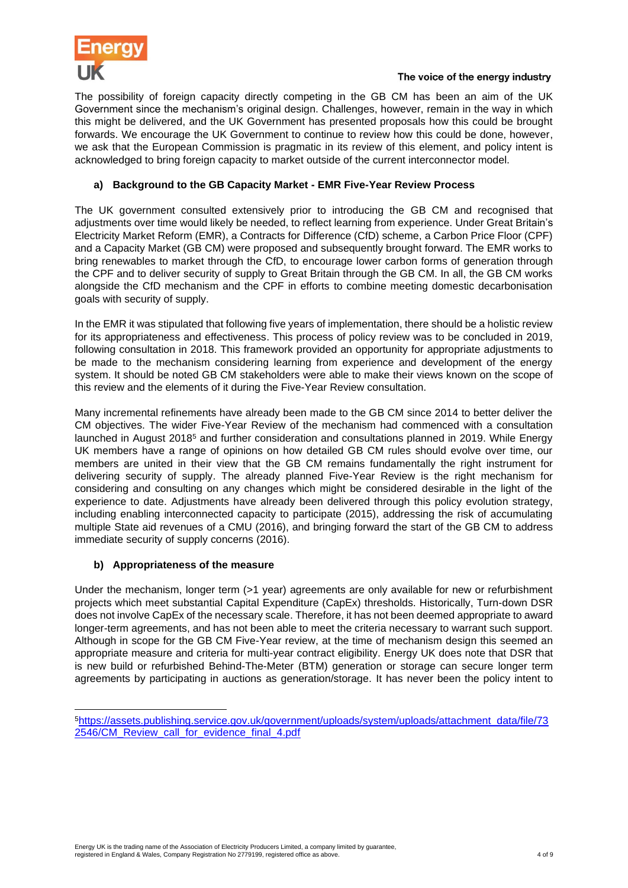

The possibility of foreign capacity directly competing in the GB CM has been an aim of the UK Government since the mechanism's original design. Challenges, however, remain in the way in which this might be delivered, and the UK Government has presented proposals how this could be brought forwards. We encourage the UK Government to continue to review how this could be done, however, we ask that the European Commission is pragmatic in its review of this element, and policy intent is acknowledged to bring foreign capacity to market outside of the current interconnector model.

#### **a) Background to the GB Capacity Market - EMR Five-Year Review Process**

The UK government consulted extensively prior to introducing the GB CM and recognised that adjustments over time would likely be needed, to reflect learning from experience. Under Great Britain's Electricity Market Reform (EMR), a Contracts for Difference (CfD) scheme, a Carbon Price Floor (CPF) and a Capacity Market (GB CM) were proposed and subsequently brought forward. The EMR works to bring renewables to market through the CfD, to encourage lower carbon forms of generation through the CPF and to deliver security of supply to Great Britain through the GB CM. In all, the GB CM works alongside the CfD mechanism and the CPF in efforts to combine meeting domestic decarbonisation goals with security of supply.

In the EMR it was stipulated that following five years of implementation, there should be a holistic review for its appropriateness and effectiveness. This process of policy review was to be concluded in 2019, following consultation in 2018. This framework provided an opportunity for appropriate adjustments to be made to the mechanism considering learning from experience and development of the energy system. It should be noted GB CM stakeholders were able to make their views known on the scope of this review and the elements of it during the Five-Year Review consultation.

Many incremental refinements have already been made to the GB CM since 2014 to better deliver the CM objectives. The wider Five-Year Review of the mechanism had commenced with a consultation launched in August 2018<sup>5</sup> and further consideration and consultations planned in 2019. While Energy UK members have a range of opinions on how detailed GB CM rules should evolve over time, our members are united in their view that the GB CM remains fundamentally the right instrument for delivering security of supply. The already planned Five-Year Review is the right mechanism for considering and consulting on any changes which might be considered desirable in the light of the experience to date. Adjustments have already been delivered through this policy evolution strategy, including enabling interconnected capacity to participate (2015), addressing the risk of accumulating multiple State aid revenues of a CMU (2016), and bringing forward the start of the GB CM to address immediate security of supply concerns (2016).

#### **b) Appropriateness of the measure**

Under the mechanism, longer term (>1 year) agreements are only available for new or refurbishment projects which meet substantial Capital Expenditure (CapEx) thresholds. Historically, Turn-down DSR does not involve CapEx of the necessary scale. Therefore, it has not been deemed appropriate to award longer-term agreements, and has not been able to meet the criteria necessary to warrant such support. Although in scope for the GB CM Five-Year review, at the time of mechanism design this seemed an appropriate measure and criteria for multi-year contract eligibility. Energy UK does note that DSR that is new build or refurbished Behind-The-Meter (BTM) generation or storage can secure longer term agreements by participating in auctions as generation/storage. It has never been the policy intent to

<sup>5</sup>[https://assets.publishing.service.gov.uk/government/uploads/system/uploads/attachment\\_data/file/73](https://assets.publishing.service.gov.uk/government/uploads/system/uploads/attachment_data/file/732546/CM_Review_call_for_evidence_final_4.pdf) [2546/CM\\_Review\\_call\\_for\\_evidence\\_final\\_4.pdf](https://assets.publishing.service.gov.uk/government/uploads/system/uploads/attachment_data/file/732546/CM_Review_call_for_evidence_final_4.pdf)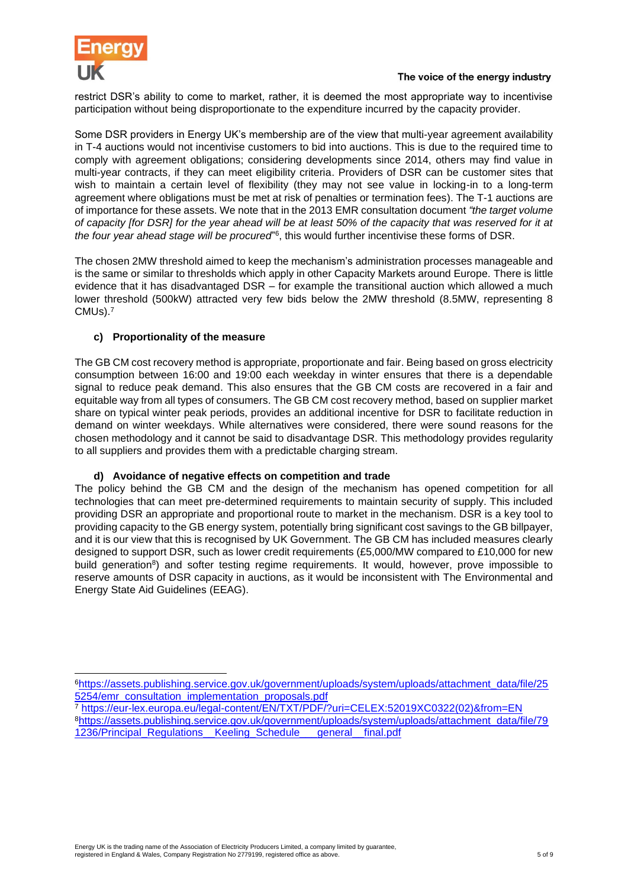

restrict DSR's ability to come to market, rather, it is deemed the most appropriate way to incentivise participation without being disproportionate to the expenditure incurred by the capacity provider.

Some DSR providers in Energy UK's membership are of the view that multi-year agreement availability in T-4 auctions would not incentivise customers to bid into auctions. This is due to the required time to comply with agreement obligations; considering developments since 2014, others may find value in multi-year contracts, if they can meet eligibility criteria. Providers of DSR can be customer sites that wish to maintain a certain level of flexibility (they may not see value in locking-in to a long-term agreement where obligations must be met at risk of penalties or termination fees). The T-1 auctions are of importance for these assets. We note that in the 2013 EMR consultation document *"the target volume of capacity [for DSR] for the year ahead will be at least 50% of the capacity that was reserved for it at the four year ahead stage will be procured*" 6 , this would further incentivise these forms of DSR.

The chosen 2MW threshold aimed to keep the mechanism's administration processes manageable and is the same or similar to thresholds which apply in other Capacity Markets around Europe. There is little evidence that it has disadvantaged DSR – for example the transitional auction which allowed a much lower threshold (500kW) attracted very few bids below the 2MW threshold (8.5MW, representing 8  $\mathsf{CMUs)}$ . $^7$ 

#### **c) Proportionality of the measure**

The GB CM cost recovery method is appropriate, proportionate and fair. Being based on gross electricity consumption between 16:00 and 19:00 each weekday in winter ensures that there is a dependable signal to reduce peak demand. This also ensures that the GB CM costs are recovered in a fair and equitable way from all types of consumers. The GB CM cost recovery method, based on supplier market share on typical winter peak periods, provides an additional incentive for DSR to facilitate reduction in demand on winter weekdays. While alternatives were considered, there were sound reasons for the chosen methodology and it cannot be said to disadvantage DSR. This methodology provides regularity to all suppliers and provides them with a predictable charging stream.

#### **d) Avoidance of negative effects on competition and trade**

The policy behind the GB CM and the design of the mechanism has opened competition for all technologies that can meet pre-determined requirements to maintain security of supply. This included providing DSR an appropriate and proportional route to market in the mechanism. DSR is a key tool to providing capacity to the GB energy system, potentially bring significant cost savings to the GB billpayer, and it is our view that this is recognised by UK Government. The GB CM has included measures clearly designed to support DSR, such as lower credit requirements (£5,000/MW compared to £10,000 for new build generation<sup>8</sup>) and softer testing regime requirements. It would, however, prove impossible to reserve amounts of DSR capacity in auctions, as it would be inconsistent with The Environmental and Energy State Aid Guidelines (EEAG).

<sup>7</sup> [https://eur-lex.europa.eu/legal-content/EN/TXT/PDF/?uri=CELEX:52019XC0322\(02\)&from=EN](https://eur-lex.europa.eu/legal-content/EN/TXT/PDF/?uri=CELEX:52019XC0322(02)&from=EN) <sup>8</sup>[https://assets.publishing.service.gov.uk/government/uploads/system/uploads/attachment\\_data/file/79](https://assets.publishing.service.gov.uk/government/uploads/system/uploads/attachment_data/file/791236/Principal_Regulations__Keeling_Schedule___general__final.pdf) [1236/Principal\\_Regulations\\_\\_Keeling\\_Schedule\\_\\_\\_general\\_\\_final.pdf](https://assets.publishing.service.gov.uk/government/uploads/system/uploads/attachment_data/file/791236/Principal_Regulations__Keeling_Schedule___general__final.pdf)

<sup>6</sup>[https://assets.publishing.service.gov.uk/government/uploads/system/uploads/attachment\\_data/file/25](https://assets.publishing.service.gov.uk/government/uploads/system/uploads/attachment_data/file/255254/emr_consultation_implementation_proposals.pdf) [5254/emr\\_consultation\\_implementation\\_proposals.pdf](https://assets.publishing.service.gov.uk/government/uploads/system/uploads/attachment_data/file/255254/emr_consultation_implementation_proposals.pdf)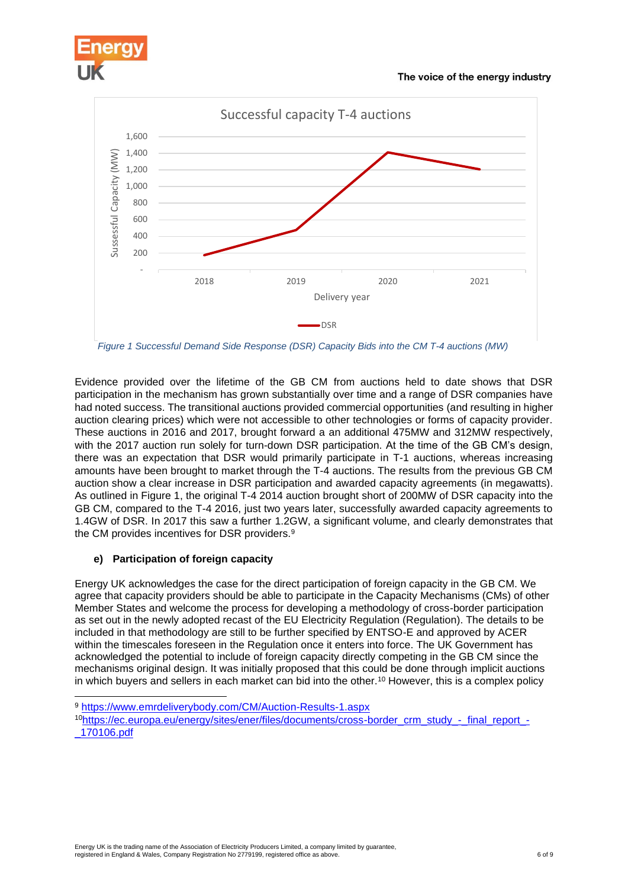



*Figure 1 Successful Demand Side Response (DSR) Capacity Bids into the CM T-4 auctions (MW)*

Evidence provided over the lifetime of the GB CM from auctions held to date shows that DSR participation in the mechanism has grown substantially over time and a range of DSR companies have had noted success. The transitional auctions provided commercial opportunities (and resulting in higher auction clearing prices) which were not accessible to other technologies or forms of capacity provider. These auctions in 2016 and 2017, brought forward a an additional 475MW and 312MW respectively, with the 2017 auction run solely for turn-down DSR participation. At the time of the GB CM's design, there was an expectation that DSR would primarily participate in T-1 auctions, whereas increasing amounts have been brought to market through the T-4 auctions. The results from the previous GB CM auction show a clear increase in DSR participation and awarded capacity agreements (in megawatts). As outlined in Figure 1, the original T-4 2014 auction brought short of 200MW of DSR capacity into the GB CM, compared to the T-4 2016, just two years later, successfully awarded capacity agreements to 1.4GW of DSR. In 2017 this saw a further 1.2GW, a significant volume, and clearly demonstrates that the CM provides incentives for DSR providers.<sup>9</sup>

#### **e) Participation of foreign capacity**

Energy UK acknowledges the case for the direct participation of foreign capacity in the GB CM. We agree that capacity providers should be able to participate in the Capacity Mechanisms (CMs) of other Member States and welcome the process for developing a methodology of cross-border participation as set out in the newly adopted recast of the EU Electricity Regulation (Regulation). The details to be included in that methodology are still to be further specified by ENTSO-E and approved by ACER within the timescales foreseen in the Regulation once it enters into force. The UK Government has acknowledged the potential to include of foreign capacity directly competing in the GB CM since the mechanisms original design. It was initially proposed that this could be done through implicit auctions in which buyers and sellers in each market can bid into the other.<sup>10</sup> However, this is a complex policy

<sup>9</sup> <https://www.emrdeliverybody.com/CM/Auction-Results-1.aspx>

<sup>10</sup>[https://ec.europa.eu/energy/sites/ener/files/documents/cross-border\\_crm\\_study\\_-\\_final\\_report\\_-](https://ec.europa.eu/energy/sites/ener/files/documents/cross-border_crm_study_-_final_report_-_170106.pdf) [\\_170106.pdf](https://ec.europa.eu/energy/sites/ener/files/documents/cross-border_crm_study_-_final_report_-_170106.pdf)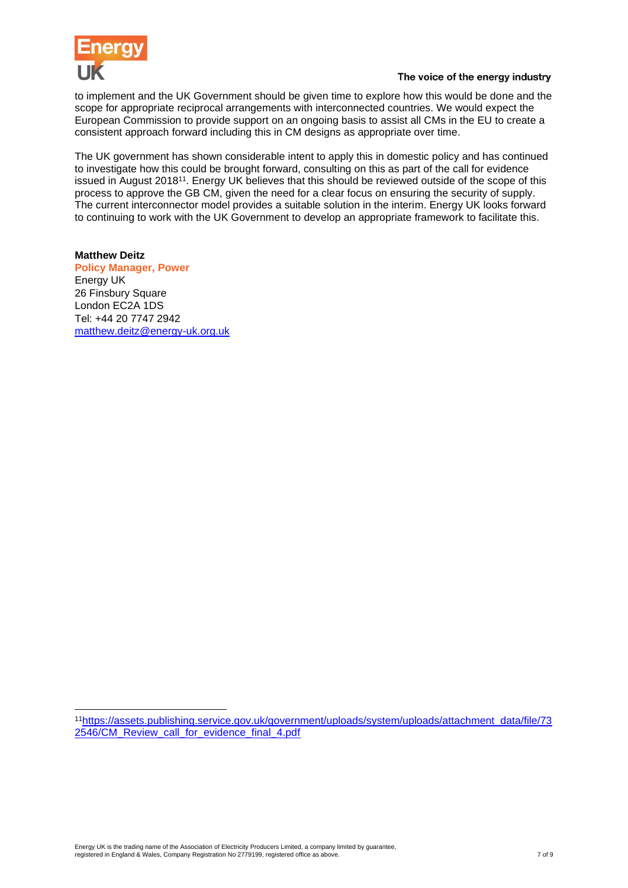

to implement and the UK Government should be given time to explore how this would be done and the scope for appropriate reciprocal arrangements with interconnected countries. We would expect the European Commission to provide support on an ongoing basis to assist all CMs in the EU to create a consistent approach forward including this in CM designs as appropriate over time.

The UK government has shown considerable intent to apply this in domestic policy and has continued to investigate how this could be brought forward, consulting on this as part of the call for evidence issued in August 2018<sup>11</sup>. Energy UK believes that this should be reviewed outside of the scope of this process to approve the GB CM, given the need for a clear focus on ensuring the security of supply. The current interconnector model provides a suitable solution in the interim. Energy UK looks forward to continuing to work with the UK Government to develop an appropriate framework to facilitate this.

## **Matthew Deitz**

**Policy Manager, Power** Energy UK 26 Finsbury Square London EC2A 1DS Tel: +44 20 7747 2942 [matthew.deitz@energy-uk.org.uk](mailto:matthew.deitz@energy-uk.org.uk)

<sup>11</sup>[https://assets.publishing.service.gov.uk/government/uploads/system/uploads/attachment\\_data/file/73](https://assets.publishing.service.gov.uk/government/uploads/system/uploads/attachment_data/file/732546/CM_Review_call_for_evidence_final_4.pdf) [2546/CM\\_Review\\_call\\_for\\_evidence\\_final\\_4.pdf](https://assets.publishing.service.gov.uk/government/uploads/system/uploads/attachment_data/file/732546/CM_Review_call_for_evidence_final_4.pdf)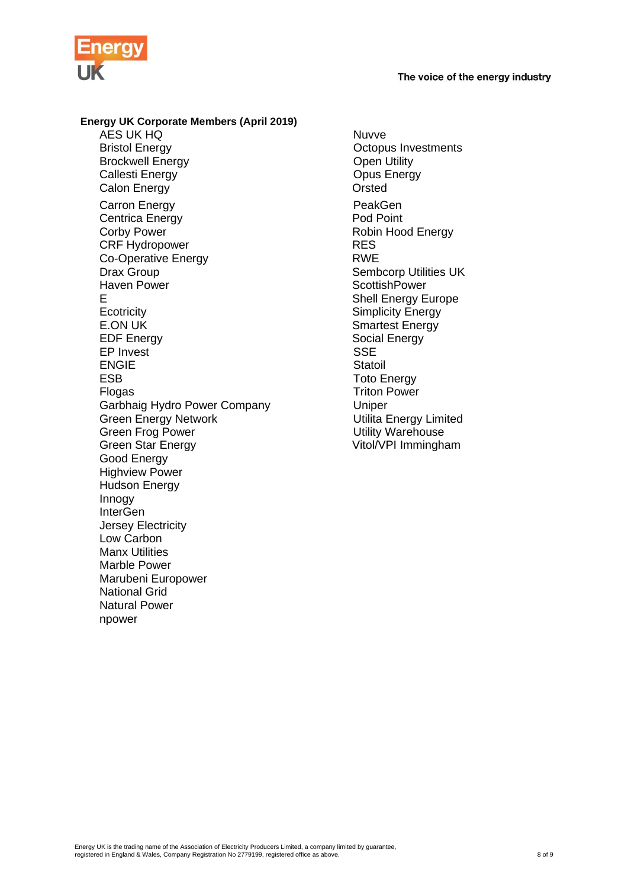



### **Energy UK Corporate Members (April 2019)** AES UK HQ<br>Bristol Energy Number 2001 Brockwell Energy **Open Utility** Callesti Energy Callesti Energy Callesti Energy Callesti Energy Calon Energy Carron Energy **PeakGen**<br>
Centrica Energy **Pod Point**<br>
Pod Point Centrica Energy<br>Corby Power CRF Hydropower Co-Operative Energy **RWE** Drax Group Case Communication of the Sembcorp Utilities UK<br>
Haven Power Communication Scottish Power E Shell Energy Europe Ecotricity<br>
E.ON UK<br>
E.ON UK<br>
Smartest Energy E.ON UK Smartest Energy EP Invest<br>ENGIE State State State State State State State State State State State State State State State State State State State State State State State State State State State State State State State State State State St ENGIE **ENGIE** ESB Toto Energy Flogas Triton Power Garbhaig Hydro Power Company Uniper Green Energy Network and Utilita Energy Limited<br>
Green Frog Power and Utility Warehouse Green Frog Power<br>
Green Star Energy<br>
Utility Warehouse<br>
Vitol/VPI Immingha Good Energy Highview Power Hudson Energy Innogy **InterGen** Jersey Electricity Low Carbon Manx Utilities Marble Power Marubeni Europower National Grid Natural Power npower

**Octopus Investments** Robin Hood Energy<br>RES **ScottishPower** Social Energy<br>SSE Vitol/VPI Immingham